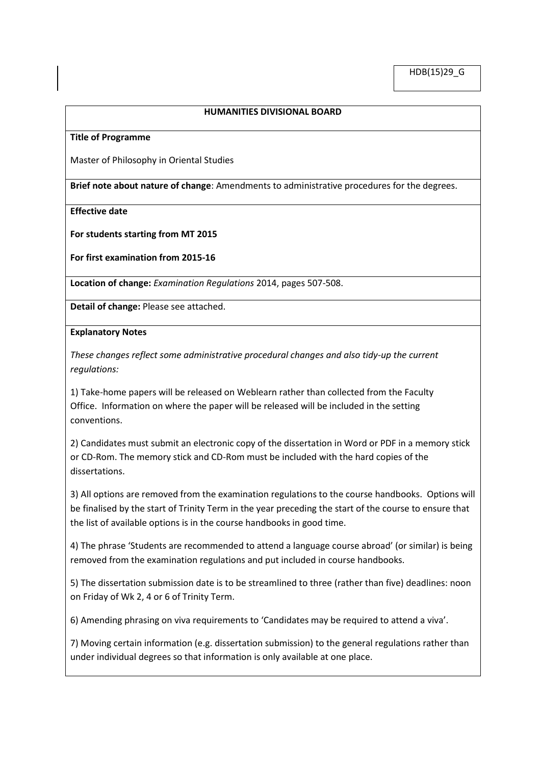## **HUMANITIES DIVISIONAL BOARD**

## **Title of Programme**

Master of Philosophy in Oriental Studies

**Brief note about nature of change**: Amendments to administrative procedures for the degrees.

**Effective date**

**For students starting from MT 2015**

**For first examination from 2015-16**

**Location of change:** *Examination Regulations* 2014, pages 507-508.

**Detail of change:** Please see attached.

## **Explanatory Notes**

*These changes reflect some administrative procedural changes and also tidy-up the current regulations:*

1) Take-home papers will be released on Weblearn rather than collected from the Faculty Office. Information on where the paper will be released will be included in the setting conventions.

2) Candidates must submit an electronic copy of the dissertation in Word or PDF in a memory stick or CD-Rom. The memory stick and CD-Rom must be included with the hard copies of the dissertations.

3) All options are removed from the examination regulations to the course handbooks. Options will be finalised by the start of Trinity Term in the year preceding the start of the course to ensure that the list of available options is in the course handbooks in good time.

4) The phrase 'Students are recommended to attend a language course abroad' (or similar) is being removed from the examination regulations and put included in course handbooks.

5) The dissertation submission date is to be streamlined to three (rather than five) deadlines: noon on Friday of Wk 2, 4 or 6 of Trinity Term.

6) Amending phrasing on viva requirements to 'Candidates may be required to attend a viva'.

7) Moving certain information (e.g. dissertation submission) to the general regulations rather than under individual degrees so that information is only available at one place.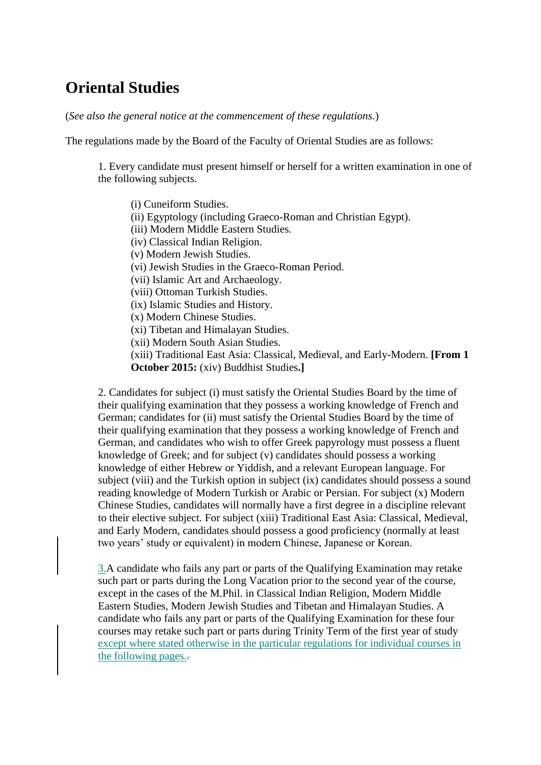## **Oriental Studies**

(*See also the general notice at the commencement of these regulations.*)

The regulations made by the Board of the Faculty of Oriental Studies are as follows:

1. Every candidate must present himself or herself for a written examination in one of the following subjects.

(i) Cuneiform Studies.

- (ii) Egyptology (including Graeco-Roman and Christian Egypt).
- (iii) Modern Middle Eastern Studies.
- (iv) Classical Indian Religion.
- (v) Modern Jewish Studies.
- (vi) Jewish Studies in the Graeco-Roman Period.
- (vii) Islamic Art and Archaeology.
- (viii) Ottoman Turkish Studies.
- (ix) Islamic Studies and History.
- (x) Modern Chinese Studies.
- (xi) Tibetan and Himalayan Studies.
- (xii) Modern South Asian Studies.

(xiii) Traditional East Asia: Classical, Medieval, and Early-Modern. **[From 1 October 2015:** (xiv) Buddhist Studies**.]**

2. Candidates for subject (i) must satisfy the Oriental Studies Board by the time of their qualifying examination that they possess a working knowledge of French and German; candidates for (ii) must satisfy the Oriental Studies Board by the time of their qualifying examination that they possess a working knowledge of French and German, and candidates who wish to offer Greek papyrology must possess a fluent knowledge of Greek; and for subject (v) candidates should possess a working knowledge of either Hebrew or Yiddish, and a relevant European language. For subject (viii) and the Turkish option in subject (ix) candidates should possess a sound reading knowledge of Modern Turkish or Arabic or Persian. For subject (x) Modern Chinese Studies, candidates will normally have a first degree in a discipline relevant to their elective subject. For subject (xiii) Traditional East Asia: Classical, Medieval, and Early Modern, candidates should possess a good proficiency (normally at least two years' study or equivalent) in modern Chinese, Japanese or Korean.

3.A candidate who fails any part or parts of the Qualifying Examination may retake such part or parts during the Long Vacation prior to the second year of the course, except in the cases of the M.Phil. in Classical Indian Religion, Modern Middle Eastern Studies, Modern Jewish Studies and Tibetan and Himalayan Studies. A candidate who fails any part or parts of the Qualifying Examination for these four courses may retake such part or parts during Trinity Term of the first year of study except where stated otherwise in the particular regulations for individual courses in the following pages..